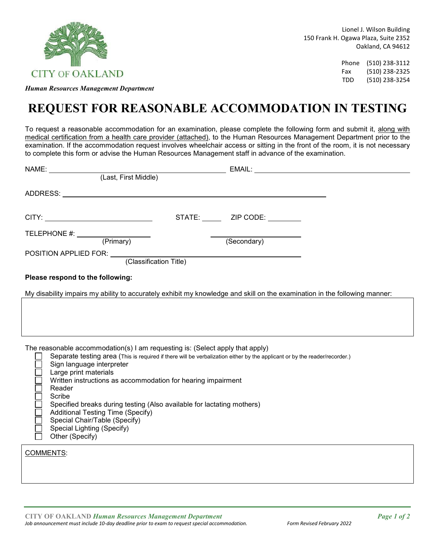

*Human Resources Management Department*

Phone (510) 238-3112 Fax (510) 238-2325 TDD (510) 238-3254

## **REQUEST FOR REASONABLE ACCOMMODATION IN TESTING**

To request a reasonable accommodation for an examination, please complete the following form and submit it, along with medical certification from a health care provider (attached), to the Human Resources Management Department prior to the examination. If the accommodation request involves wheelchair access or sitting in the front of the room, it is not necessary to complete this form or advise the Human Resources Management staff in advance of the examination.

| NAME:                                                                                                                                                                                                                                                                                                                                                                                                                                                                                                                                                         | EMAIL: The contract of the contract of the contract of the contract of the contract of the contract of the contract of the contract of the contract of the contract of the contract of the contract of the contract of the con |
|---------------------------------------------------------------------------------------------------------------------------------------------------------------------------------------------------------------------------------------------------------------------------------------------------------------------------------------------------------------------------------------------------------------------------------------------------------------------------------------------------------------------------------------------------------------|--------------------------------------------------------------------------------------------------------------------------------------------------------------------------------------------------------------------------------|
| (Last, First Middle)                                                                                                                                                                                                                                                                                                                                                                                                                                                                                                                                          |                                                                                                                                                                                                                                |
| ADDRESS: North and the second contract of the second contract of the second contract of the second contract of the second contract of the second contract of the second contract of the second contract of the second contract                                                                                                                                                                                                                                                                                                                                |                                                                                                                                                                                                                                |
|                                                                                                                                                                                                                                                                                                                                                                                                                                                                                                                                                               |                                                                                                                                                                                                                                |
| TELEPHONE #: (Primary)<br>POSITION APPLIED FOR: (Classification Title)                                                                                                                                                                                                                                                                                                                                                                                                                                                                                        | (Secondary)                                                                                                                                                                                                                    |
|                                                                                                                                                                                                                                                                                                                                                                                                                                                                                                                                                               |                                                                                                                                                                                                                                |
| Please respond to the following:                                                                                                                                                                                                                                                                                                                                                                                                                                                                                                                              |                                                                                                                                                                                                                                |
| My disability impairs my ability to accurately exhibit my knowledge and skill on the examination in the following manner:                                                                                                                                                                                                                                                                                                                                                                                                                                     |                                                                                                                                                                                                                                |
| The reasonable accommodation(s) I am requesting is: (Select apply that apply)<br>Separate testing area (This is required if there will be verbalization either by the applicant or by the reader/recorder.)<br>Sign language interpreter<br>Large print materials<br>Written instructions as accommodation for hearing impairment<br>Reader<br>Scribe<br>Specified breaks during testing (Also available for lactating mothers)<br><b>Additional Testing Time (Specify)</b><br>Special Chair/Table (Specify)<br>Special Lighting (Specify)<br>Other (Specify) |                                                                                                                                                                                                                                |
| <b>COMMENTS:</b>                                                                                                                                                                                                                                                                                                                                                                                                                                                                                                                                              |                                                                                                                                                                                                                                |